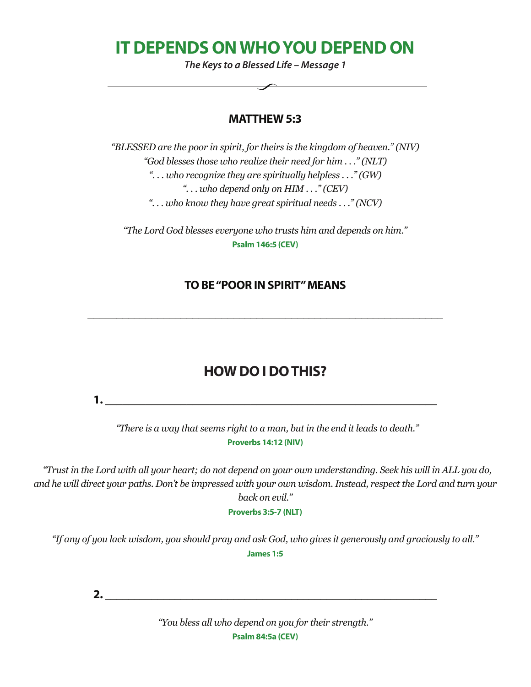**IT DEPENDS ON WHO YOU DEPEND ON**

*The Keys to a Blessed Life – Message 1*

#### **MATTHEW 5:3**

*"BLESSED are the poor in spirit, for theirs is the kingdom of heaven." (NIV) "God blesses those who realize their need for him . . ." (NLT) ". . . who recognize they are spiritually helpless . . ." (GW) ". . . who depend only on HIM . . ." (CEV) ". . . who know they have great spiritual needs . . ." (NCV)*

*"The Lord God blesses everyone who trusts him and depends on him."*  **Psalm 146:5 (CEV)**

#### **TO BE "POOR IN SPIRIT" MEANS**

**\_\_\_\_\_\_\_\_\_\_\_\_\_\_\_\_\_\_\_\_\_\_\_\_\_\_\_\_\_\_\_\_\_\_\_\_\_\_\_\_\_\_\_\_\_\_\_\_\_\_\_\_\_\_\_\_\_\_\_\_\_**

## **HOW DO I DO THIS?**

**1. \_\_\_\_\_\_\_\_\_\_\_\_\_\_\_\_\_\_\_\_\_\_\_\_\_\_\_\_\_\_\_\_\_\_\_\_\_\_\_\_\_\_\_\_\_\_\_\_\_\_\_\_\_\_\_\_\_**

 *"There is a way that seems right to a man, but in the end it leads to death."*  **Proverbs 14:12 (NIV)**

 *"Trust in the Lord with all your heart; do not depend on your own understanding. Seek his will in ALL you do, and he will direct your paths. Don't be impressed with your own wisdom. Instead, respect the Lord and turn your back on evil."* 

**Proverbs 3:5-7 (NLT)**

*"If any of you lack wisdom, you should pray and ask God, who gives it generously and graciously to all."*  **James 1:5**

**2. \_\_\_\_\_\_\_\_\_\_\_\_\_\_\_\_\_\_\_\_\_\_\_\_\_\_\_\_\_\_\_\_\_\_\_\_\_\_\_\_\_\_\_\_\_\_\_\_\_\_\_\_\_\_\_\_\_**

*"You bless all who depend on you for their strength."*  **Psalm 84:5a (CEV)**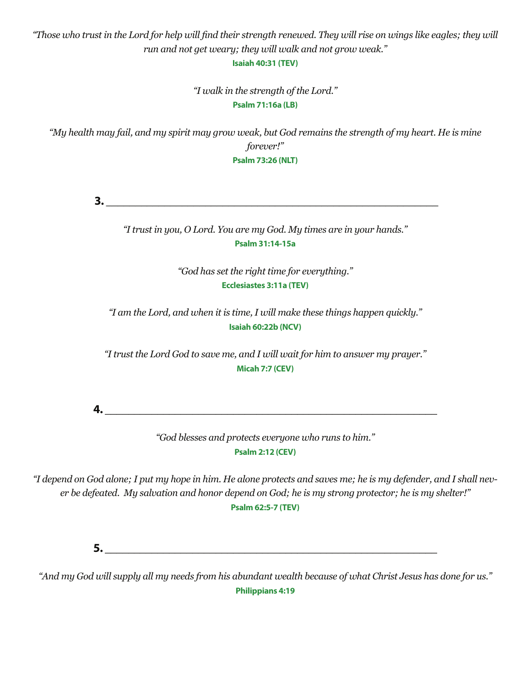"Those who trust in the Lord for help will find their strength renewed. They will rise on wings like eagles; they will *run and not get weary; they will walk and not grow weak."* 

**Isaiah 40:31 (TEV)**

*"I walk in the strength of the Lord."*  **Psalm 71:16a (LB)**

*"My health may fail, and my spirit may grow weak, but God remains the strength of my heart. He is mine forever!"*  **Psalm 73:26 (NLT)**

 **3. \_\_\_\_\_\_\_\_\_\_\_\_\_\_\_\_\_\_\_\_\_\_\_\_\_\_\_\_\_\_\_\_\_\_\_\_\_\_\_\_\_\_\_\_\_\_\_\_\_\_\_\_\_\_\_\_\_**

*"I trust in you, O Lord. You are my God. My times are in your hands."*  **Psalm 31:14-15a**

> *"God has set the right time for everything."*  **Ecclesiastes 3:11a (TEV)**

*"I am the Lord, and when it is time, I will make these things happen quickly."*  **Isaiah 60:22b (NCV)**

*"I trust the Lord God to save me, and I will wait for him to answer my prayer."* **Micah 7:7 (CEV)**

**4. \_\_\_\_\_\_\_\_\_\_\_\_\_\_\_\_\_\_\_\_\_\_\_\_\_\_\_\_\_\_\_\_\_\_\_\_\_\_\_\_\_\_\_\_\_\_\_\_\_\_\_\_\_\_\_\_\_**

*"God blesses and protects everyone who runs to him."*  **Psalm 2:12 (CEV)**

*"I depend on God alone; I put my hope in him. He alone protects and saves me; he is my defender, and I shall never be defeated. My salvation and honor depend on God; he is my strong protector; he is my shelter!"*  **Psalm 62:5-7 (TEV)** 

 $5.$ 

*"And my God will supply all my needs from his abundant wealth because of what Christ Jesus has done for us."*  **Philippians 4:19**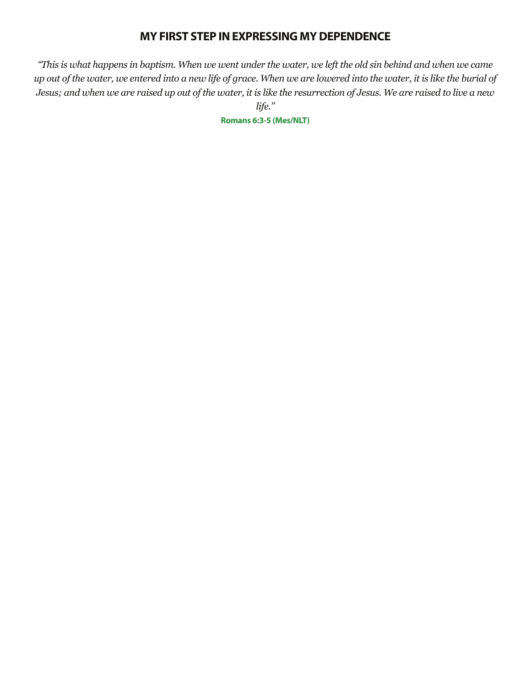#### **MY FIRST STEP IN EXPRESSING MY DEPENDENCE**

*"This is what happens in baptism. When we went under the water, we left the old sin behind and when we came up out of the water, we entered into a new life of grace. When we are lowered into the water, it is like the burial of Jesus; and when we are raised up out of the water, it is like the resurrection of Jesus. We are raised to live a new life."* 

**Romans 6:3-5 (Mes/NLT)**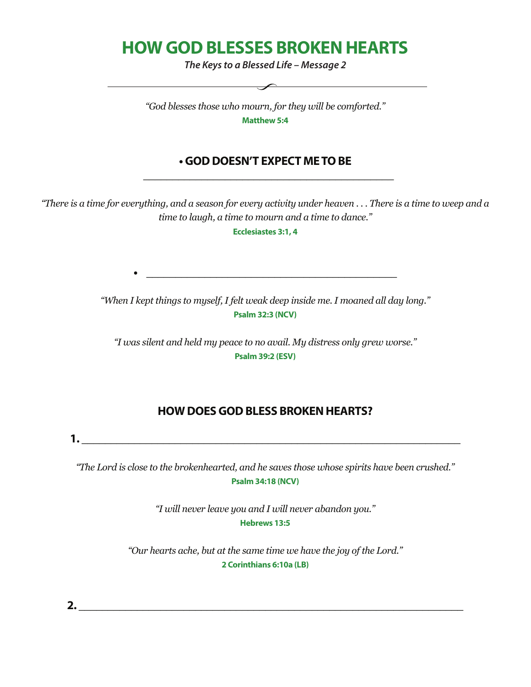# **HOW GOD BLESSES BROKEN HEARTS**

*The Keys to a Blessed Life – Message 2*

*"God blesses those who mourn, for they will be comforted."* **Matthew 5:4** 

#### **• GOD DOESN'T EXPECT ME TO BE \_\_\_\_\_\_\_\_\_\_\_\_\_\_\_\_\_\_\_\_\_\_\_\_\_\_\_\_\_\_\_\_\_\_\_\_\_\_\_\_\_\_\_**

*"There is a time for everything, and a season for every activity under heaven . . . There is a time to weep and a time to laugh, a time to mourn and a time to dance."* 

**Ecclesiastes 3:1, 4**

*"When I kept things to myself, I felt weak deep inside me. I moaned all day long."* **Psalm 32:3 (NCV)**

*"I was silent and held my peace to no avail. My distress only grew worse."*  **Psalm 39:2 (ESV)**

#### **HOW DOES GOD BLESS BROKEN HEARTS?**

**1. \_\_\_\_\_\_\_\_\_\_\_\_\_\_\_\_\_\_\_\_\_\_\_\_\_\_\_\_\_\_\_\_\_\_\_\_\_\_\_\_\_\_\_\_\_\_\_\_\_\_\_\_\_\_\_\_\_\_\_\_\_\_\_\_\_**

*"The Lord is close to the brokenhearted, and he saves those whose spirits have been crushed."* **Psalm 34:18 (NCV)**

> *"I will never leave you and I will never abandon you."*  **Hebrews 13:5**

*"Our hearts ache, but at the same time we have the joy of the Lord."* **2 Corinthians 6:10a (LB)**

**2. \_\_\_\_\_\_\_\_\_\_\_\_\_\_\_\_\_\_\_\_\_\_\_\_\_\_\_\_\_\_\_\_\_\_\_\_\_\_\_\_\_\_\_\_\_\_\_\_\_\_\_\_\_\_\_\_\_\_\_\_\_\_\_\_\_\_**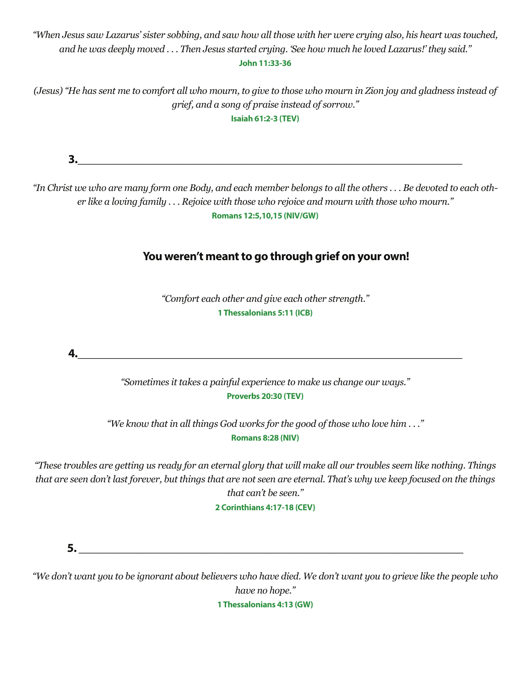*"When Jesus saw Lazarus' sister sobbing, and saw how all those with her were crying also, his heart was touched, and he was deeply moved . . . Then Jesus started crying. 'See how much he loved Lazarus!' they said."* **John 11:33-36**

*(Jesus) "He has sent me to comfort all who mourn, to give to those who mourn in Zion joy and gladness instead of grief, and a song of praise instead of sorrow."*  **Isaiah 61:2-3 (TEV)**

**3.\_\_\_\_\_\_\_\_\_\_\_\_\_\_\_\_\_\_\_\_\_\_\_\_\_\_\_\_\_\_\_\_\_\_\_\_\_\_\_\_\_\_\_\_\_\_\_\_\_\_\_\_\_\_\_\_\_\_\_\_\_\_\_\_\_\_** *"In Christ we who are many form one Body, and each member belongs to all the others . . . Be devoted to each other like a loving family . . . Rejoice with those who rejoice and mourn with those who mourn."*  **Romans 12:5,10,15 (NIV/GW) You weren't meant to go through grief on your own!** *"Comfort each other and give each other strength."*  **1 Thessalonians 5:11 (ICB) 4.\_\_\_\_\_\_\_\_\_\_\_\_\_\_\_\_\_\_\_\_\_\_\_\_\_\_\_\_\_\_\_\_\_\_\_\_\_\_\_\_\_\_\_\_\_\_\_\_\_\_\_\_\_\_\_\_\_\_\_\_\_\_\_\_\_\_** *"Sometimes it takes a painful experience to make us change our ways."* **Proverbs 20:30 (TEV)** *"We know that in all things God works for the good of those who love him . . ."*  **Romans 8:28 (NIV)** *"These troubles are getting us ready for an eternal glory that will make all our troubles seem like nothing. Things that are seen don't last forever, but things that are not seen are eternal. That's why we keep focused on the things that can't be seen."* **2 Corinthians 4:17-18 (CEV)**  $\mathbf{5.}$ 

*"We don't want you to be ignorant about believers who have died. We don't want you to grieve like the people who have no hope."*

**1 Thessalonians 4:13 (GW)**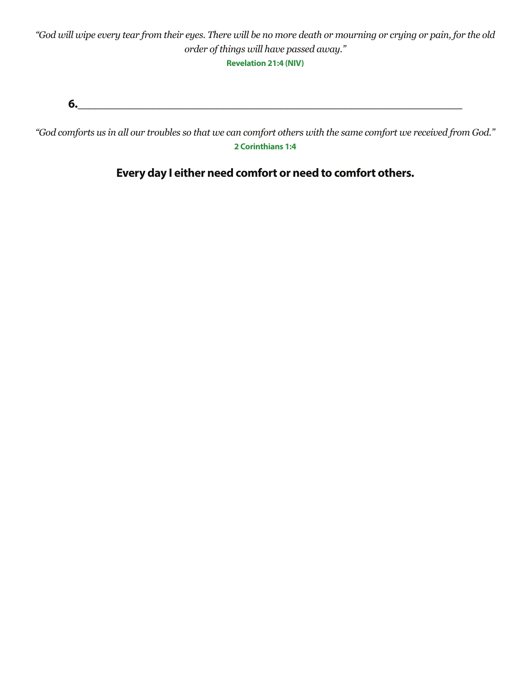**Revelation 21:4 (NIV)**

**6.\_\_\_\_\_\_\_\_\_\_\_\_\_\_\_\_\_\_\_\_\_\_\_\_\_\_\_\_\_\_\_\_\_\_\_\_\_\_\_\_\_\_\_\_\_\_\_\_\_\_\_\_\_\_\_\_\_\_\_\_\_\_\_\_\_\_**

*"God comforts us in all our troubles so that we can comfort others with the same comfort we received from God."*  **2 Corinthians 1:4**

**Every day I either need comfort or need to comfort others.**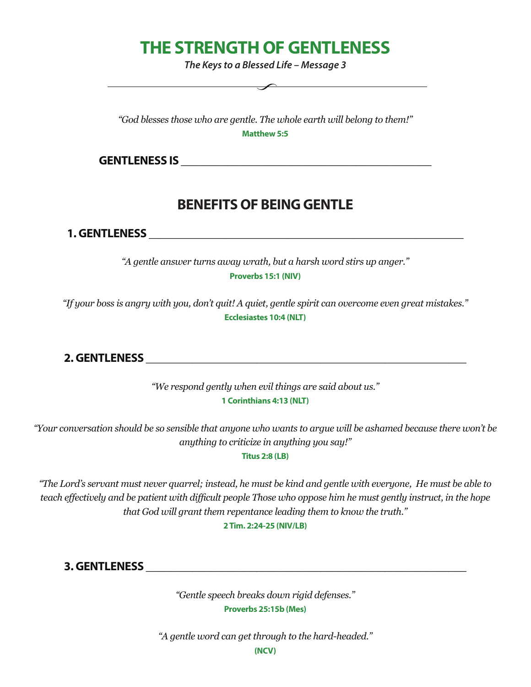# **THE STRENGTH OF GENTLENESS**

*The Keys to a Blessed Life – Message 3*

*"God blesses those who are gentle. The whole earth will belong to them!"* **Matthew 5:5**

GENTLENESS IS **Example 20** 

## **BENEFITS OF BEING GENTLE**

**1. GENTLENESS with a set of the set of the set of the set of the set of the set of the set of the set of the set of the set of the set of the set of the set of the set of the set of the set of the set of the set of the** 

*"A gentle answer turns away wrath, but a harsh word stirs up anger."* **Proverbs 15:1 (NIV)**

*"If your boss is angry with you, don't quit! A quiet, gentle spirit can overcome even great mistakes."* **Ecclesiastes 10:4 (NLT)**

**2. GENTLENESS \_\_\_\_\_\_\_\_\_\_\_\_\_\_\_\_\_\_\_\_\_\_\_\_\_\_\_\_\_\_\_\_\_\_\_\_\_\_\_\_\_\_\_\_\_\_\_\_\_\_\_\_\_\_\_**

*"We respond gently when evil things are said about us."* **1 Corinthians 4:13 (NLT)**

*"Your conversation should be so sensible that anyone who wants to argue will be ashamed because there won't be anything to criticize in anything you say!"*

**Titus 2:8 (LB)**

*"The Lord's servant must never quarrel; instead, he must be kind and gentle with everyone, He must be able to teach effectively and be patient with difficult people Those who oppose him he must gently instruct, in the hope that God will grant them repentance leading them to know the truth."* 

**2 Tim. 2:24-25 (NIV/LB)** 

**3. GENTLENESS \_\_\_\_\_\_\_\_\_\_\_\_\_\_\_\_\_\_\_\_\_\_\_\_\_\_\_\_\_\_\_\_\_\_\_\_\_\_\_\_\_\_\_\_\_\_\_\_\_\_\_\_\_\_\_**

*"Gentle speech breaks down rigid defenses."*  **Proverbs 25:15b (Mes)**

*"A gentle word can get through to the hard-headed."*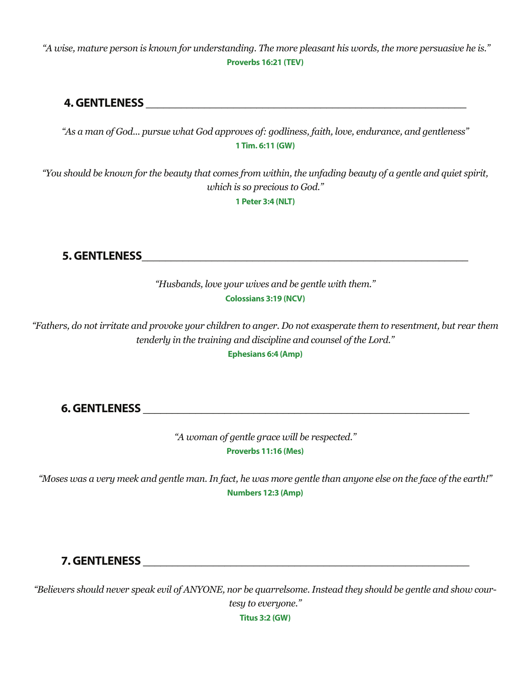*"A wise, mature person is known for understanding. The more pleasant his words, the more persuasive he is."*  **Proverbs 16:21 (TEV)**

### **4. GENTLENESS**

*"As a man of God... pursue what God approves of: godliness, faith, love, endurance, and gentleness"*  **1 Tim. 6:11 (GW)**

*"You should be known for the beauty that comes from within, the unfading beauty of a gentle and quiet spirit, which is so precious to God."* 

**1 Peter 3:4 (NLT)**

**5. GENTLENESS** 

*"Husbands, love your wives and be gentle with them."*  **Colossians 3:19 (NCV)**

*"Fathers, do not irritate and provoke your children to anger. Do not exasperate them to resentment, but rear them tenderly in the training and discipline and counsel of the Lord."* 

**Ephesians 6:4 (Amp)**

**6. GENTLENESS \_\_\_\_\_\_\_\_\_\_\_\_\_\_\_\_\_\_\_\_\_\_\_\_\_\_\_\_\_\_\_\_\_\_\_\_\_\_\_\_\_\_\_\_\_\_\_\_\_\_\_\_\_\_\_\_**

*"A woman of gentle grace will be respected."*  **Proverbs 11:16 (Mes)**

*"Moses was a very meek and gentle man. In fact, he was more gentle than anyone else on the face of the earth!"*  **Numbers 12:3 (Amp)**

#### **7. GENTLENESS** *Particularly and the contract of the contract of the contract of the contract of the contract of the contract of the contract of the contract of the contract of the contract of the contract of the contrac*

*"Believers should never speak evil of ANYONE, nor be quarrelsome. Instead they should be gentle and show courtesy to everyone."* 

**Titus 3:2 (GW)**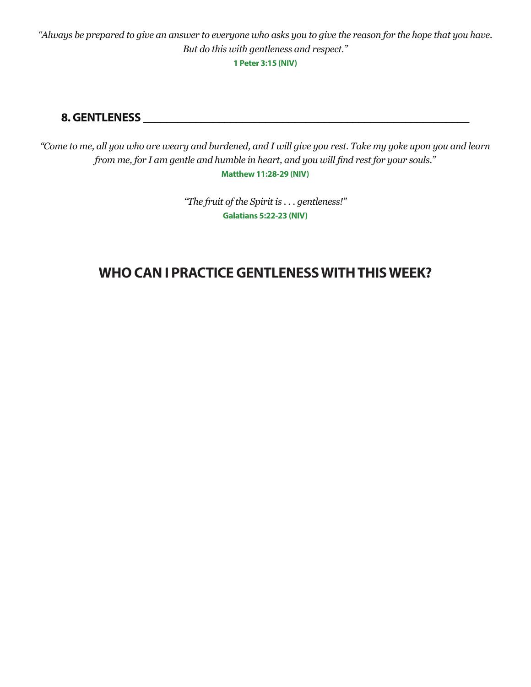*"Always be prepared to give an answer to everyone who asks you to give the reason for the hope that you have. But do this with gentleness and respect."* 

**1 Peter 3:15 (NIV)**

#### **8. GENTLENESS \_\_\_\_\_\_\_\_\_\_\_\_\_\_\_\_\_\_\_\_\_\_\_\_\_\_\_\_\_\_\_\_\_\_\_\_\_\_\_\_\_\_\_\_\_\_\_\_\_\_\_\_\_\_\_\_**

*"Come to me, all you who are weary and burdened, and I will give you rest. Take my yoke upon you and learn from me, for I am gentle and humble in heart, and you will find rest for your souls."* **Matthew 11:28-29 (NIV)**

> *"The fruit of the Spirit is . . . gentleness!"*  **Galatians 5:22-23 (NIV)**

## **WHO CAN I PRACTICE GENTLENESS WITH THIS WEEK?**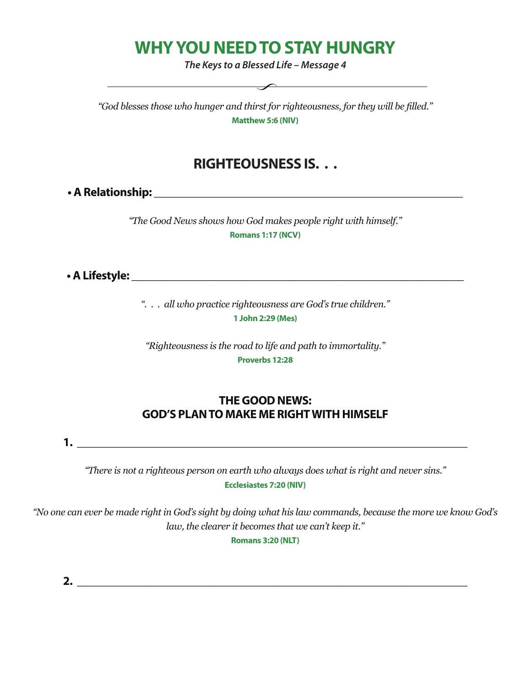# **WHY YOU NEED TO STAY HUNGRY**

*The Keys to a Blessed Life – Message 4*

 $\overbrace{\hspace{2.5cm}}$ 

*"God blesses those who hunger and thirst for righteousness, for they will be filled."* **Matthew 5:6 (NIV)**

### **RIGHTEOUSNESS IS. . .**

**• A Relationship: \_\_\_\_\_\_\_\_\_\_\_\_\_\_\_\_\_\_\_\_\_\_\_\_\_\_\_\_\_\_\_\_\_\_\_\_\_\_\_\_\_\_\_\_\_\_\_\_\_\_\_\_\_**

*"The Good News shows how God makes people right with himself."* **Romans 1:17 (NCV)**

**• A Lifestyle: \_\_\_\_\_\_\_\_\_\_\_\_\_\_\_\_\_\_\_\_\_\_\_\_\_\_\_\_\_\_\_\_\_\_\_\_\_\_\_\_\_\_\_\_\_\_\_\_\_\_\_\_\_\_\_\_\_**

*". . . all who practice righteousness are God's true children."*  **1 John 2:29 (Mes)**

*"Righteousness is the road to life and path to immortality."* **Proverbs 12:28**

#### **THE GOOD NEWS: GOD'S PLAN TO MAKE ME RIGHT WITH HIMSELF**

**1. \_\_\_\_\_\_\_\_\_\_\_\_\_\_\_\_\_\_\_\_\_\_\_\_\_\_\_\_\_\_\_\_\_\_\_\_\_\_\_\_\_\_\_\_\_\_\_\_\_\_\_\_\_\_\_\_\_\_\_\_\_\_\_\_\_\_\_**

*"There is not a righteous person on earth who always does what is right and never sins."* **Ecclesiastes 7:20 (NIV)**

"No one can ever be made right in God's sight by doing what his law commands, because the more we know God's *law, the clearer it becomes that we can't keep it."*

**Romans 3:20 (NLT)**

**2. \_\_\_\_\_\_\_\_\_\_\_\_\_\_\_\_\_\_\_\_\_\_\_\_\_\_\_\_\_\_\_\_\_\_\_\_\_\_\_\_\_\_\_\_\_\_\_\_\_\_\_\_\_\_\_\_\_\_\_\_\_\_\_\_\_\_\_**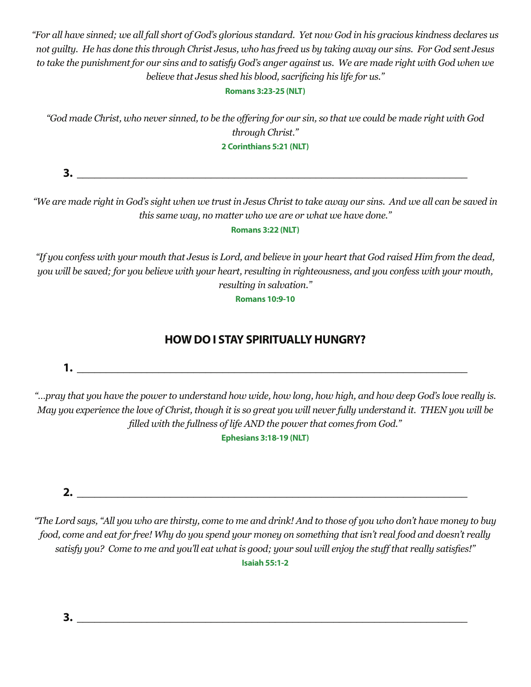"For all have sinned; we all fall short of God's glorious standard. Yet now God in his gracious kindness declares us not quilty. He has done this through Christ Jesus, who has freed us by taking away our sins. For God sent Jesus to take the punishment for our sins and to satisfy God's anger against us. We are made right with God when we *believe that Jesus shed his blood, sacrificing his life for us."*

#### **Romans 3:23-25 (NLT)**

"God made Christ, who never sinned, to be the offering for our sin, so that we could be made right with God *through Christ."*  **2 Corinthians 5:21 (NLT)**

**3. \_\_\_\_\_\_\_\_\_\_\_\_\_\_\_\_\_\_\_\_\_\_\_\_\_\_\_\_\_\_\_\_\_\_\_\_\_\_\_\_\_\_\_\_\_\_\_\_\_\_\_\_\_\_\_\_\_\_\_\_\_\_\_\_\_\_\_**

"We are made right in God's sight when we trust in Jesus Christ to take away our sins. And we all can be saved in *this same way, no matter who we are or what we have done."*

#### **Romans 3:22 (NLT)**

"If you confess with your mouth that Jesus is Lord, and believe in your heart that God raised Him from the dead, you will be saved; for you believe with your heart, resulting in righteousness, and you confess with your mouth, *resulting in salvation."*

**Romans 10:9-10**

### **HOW DO I STAY SPIRITUALLY HUNGRY?**

**1. \_\_\_\_\_\_\_\_\_\_\_\_\_\_\_\_\_\_\_\_\_\_\_\_\_\_\_\_\_\_\_\_\_\_\_\_\_\_\_\_\_\_\_\_\_\_\_\_\_\_\_\_\_\_\_\_\_\_\_\_\_\_\_\_\_\_\_**

"...pray that you have the power to understand how wide, how long, how high, and how deep God's love really is. May you experience the love of Christ, though it is so great you will never fully understand it. THEN you will be *filled with the fullness of life AND the power that comes from God."*

**Ephesians 3:18-19 (NLT)**

**2. \_\_\_\_\_\_\_\_\_\_\_\_\_\_\_\_\_\_\_\_\_\_\_\_\_\_\_\_\_\_\_\_\_\_\_\_\_\_\_\_\_\_\_\_\_\_\_\_\_\_\_\_\_\_\_\_\_\_\_\_\_\_\_\_\_\_\_**

"The Lord says, "All you who are thirsty, come to me and drink! And to those of you who don't have money to buy food, come and eat for free! Why do you spend your money on something that isn't real food and doesn't really satisfy you? Come to me and you'll eat what is good; your soul will enjoy the stuff that really satisfies!" **Isaiah 55:1-2**

**3. \_\_\_\_\_\_\_\_\_\_\_\_\_\_\_\_\_\_\_\_\_\_\_\_\_\_\_\_\_\_\_\_\_\_\_\_\_\_\_\_\_\_\_\_\_\_\_\_\_\_\_\_\_\_\_\_\_\_\_\_\_\_\_\_\_\_\_**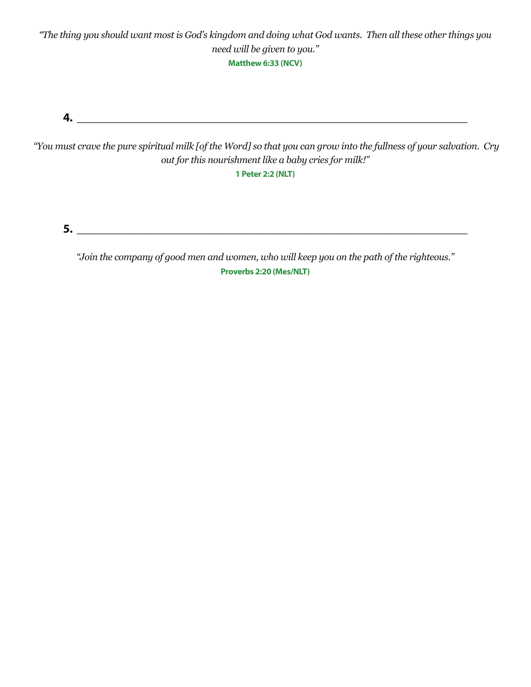"The thing you should want most is God's kingdom and doing what God wants. Then all these other things you *need will be given to you."*  **Matthew 6:33 (NCV)**

**4. \_\_\_\_\_\_\_\_\_\_\_\_\_\_\_\_\_\_\_\_\_\_\_\_\_\_\_\_\_\_\_\_\_\_\_\_\_\_\_\_\_\_\_\_\_\_\_\_\_\_\_\_\_\_\_\_\_\_\_\_\_\_\_\_\_\_\_**

"You must crave the pure spiritual milk [of the Word] so that you can grow into the fullness of your salvation. Cry *out for this nourishment like a baby cries for milk!"*

**1 Peter 2:2 (NLT)**

**5. \_\_\_\_\_\_\_\_\_\_\_\_\_\_\_\_\_\_\_\_\_\_\_\_\_\_\_\_\_\_\_\_\_\_\_\_\_\_\_\_\_\_\_\_\_\_\_\_\_\_\_\_\_\_\_\_\_\_\_\_\_\_\_\_\_\_\_**

*"Join the company of good men and women, who will keep you on the path of the righteous."* **Proverbs 2:20 (Mes/NLT)**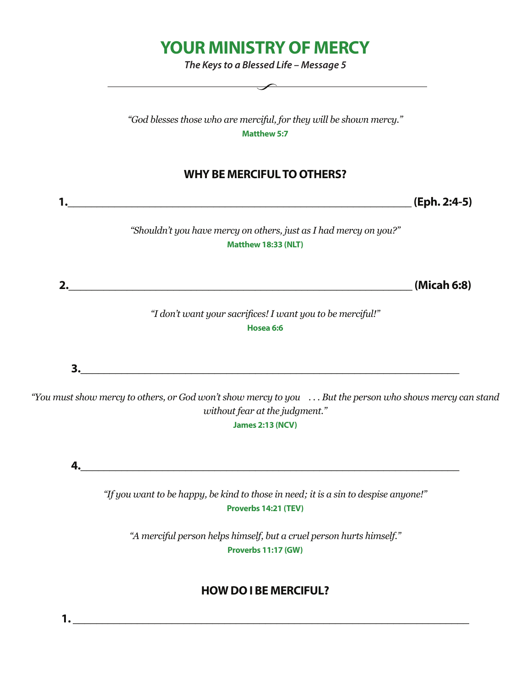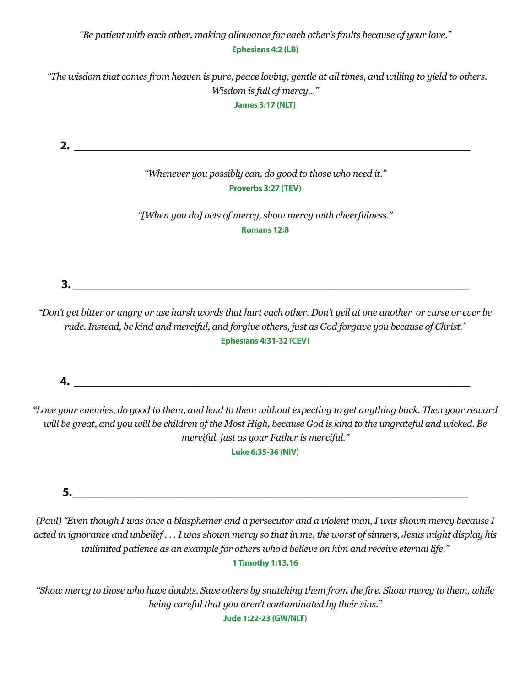#### *"Be patient with each other, making allowance for each other's faults because of your love."*  **Ephesians 4:2 (LB)**

 *"The wisdom that comes from heaven is pure, peace loving, gentle at all times, and willing to yield to others. Wisdom is full of mercy..."* 

**James 3:17 (NLT)**

**2. \_\_\_\_\_\_\_\_\_\_\_\_\_\_\_\_\_\_\_\_\_\_\_\_\_\_\_\_\_\_\_\_\_\_\_\_\_\_\_\_\_\_\_\_\_\_\_\_\_\_\_\_\_\_\_\_\_\_\_\_\_\_\_\_\_\_\_\_** *"Whenever you possibly can, do good to those who need it."* **Proverbs 3:27 (TEV)** *"[When you do] acts of mercy, show mercy with cheerfulness."*  **Romans 12:8**

*"Don't get bitter or angry or use harsh words that hurt each other. Don't yell at one another or curse or ever be rude. Instead, be kind and merciful, and forgive others, just as God forgave you because of Christ."*  **Ephesians 4:31-32 (CEV)**

**3.**  $\blacksquare$ 

**4. \_\_\_\_\_\_\_\_\_\_\_\_\_\_\_\_\_\_\_\_\_\_\_\_\_\_\_\_\_\_\_\_\_\_\_\_\_\_\_\_\_\_\_\_\_\_\_\_\_\_\_\_\_\_\_\_\_\_\_\_\_\_\_\_\_\_\_\_**

*"Love your enemies, do good to them, and lend to them without expecting to get anything back. Then your reward will be great, and you will be children of the Most High, because God is kind to the ungrateful and wicked. Be merciful, just as your Father is merciful."*

**Luke 6:35-36 (NIV)**

**5.\_\_\_\_\_\_\_\_\_\_\_\_\_\_\_\_\_\_\_\_\_\_\_\_\_\_\_\_\_\_\_\_\_\_\_\_\_\_\_\_\_\_\_\_\_\_\_\_\_\_\_\_\_\_\_\_\_\_\_\_\_\_\_\_\_\_\_\_**

*(Paul) "Even though I was once a blasphemer and a persecutor and a violent man, I was shown mercy because I acted in ignorance and unbelief . . . I was shown mercy so that in me, the worst of sinners, Jesus might display his unlimited patience as an example for others who'd believe on him and receive eternal life."* 

#### **1 Timothy 1:13,16**

"Show mercy to those who have doubts. Save others by snatching them from the fire. Show mercy to them, while *being careful that you aren't contaminated by their sins."* 

**Jude 1:22-23 (GW/NLT)**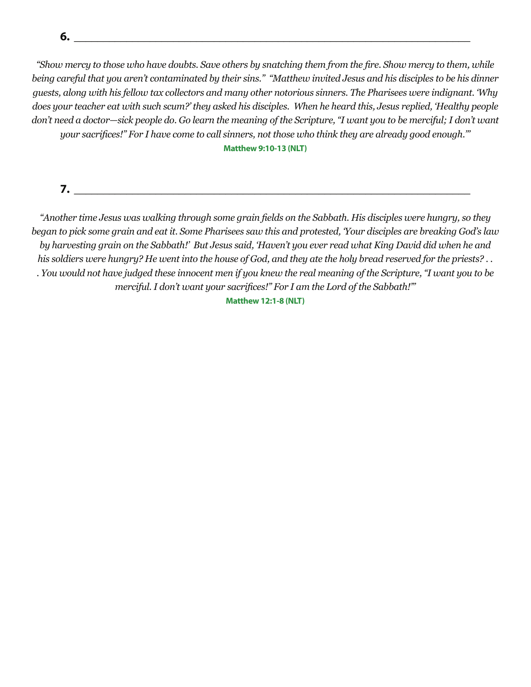**6. \_\_\_\_\_\_\_\_\_\_\_\_\_\_\_\_\_\_\_\_\_\_\_\_\_\_\_\_\_\_\_\_\_\_\_\_\_\_\_\_\_\_\_\_\_\_\_\_\_\_\_\_\_\_\_\_\_\_\_\_\_\_\_\_\_\_\_\_**

"Show mercy to those who have doubts. Save others by snatching them from the fire. Show mercy to them, while *being careful that you aren't contaminated by their sins." "Matthew invited Jesus and his disciples to be his dinner guests, along with his fellow tax collectors and many other notorious sinners. The Pharisees were indignant. 'Why does your teacher eat with such scum?' they asked his disciples. When he heard this, Jesus replied, 'Healthy people*  don't need a doctor—sick people do. Go learn the meaning of the Scripture, "I want you to be merciful; I don't want uour sacrifices!" For I have come to call sinners, not those who think they are already good enough.""

**Matthew 9:10-13 (NLT)**

**7. \_\_\_\_\_\_\_\_\_\_\_\_\_\_\_\_\_\_\_\_\_\_\_\_\_\_\_\_\_\_\_\_\_\_\_\_\_\_\_\_\_\_\_\_\_\_\_\_\_\_\_\_\_\_\_\_\_\_\_\_\_\_\_\_\_\_\_\_**

"Another time Jesus was walking through some grain fields on the Sabbath. His disciples were hungry, so they *began to pick some grain and eat it. Some Pharisees saw this and protested, 'Your disciples are breaking God's law*  by harvesting grain on the Sabbath!' But Jesus said, 'Haven't you ever read what King David did when he and *his soldiers were hungry? He went into the house of God, and they ate the holy bread reserved for the priests? . . . You would not have judged these innocent men if you knew the real meaning of the Scripture, "I want you to be merciful. I don't want your sacrifices!" For I am the Lord of the Sabbath!'"* 

**Matthew 12:1-8 (NLT)**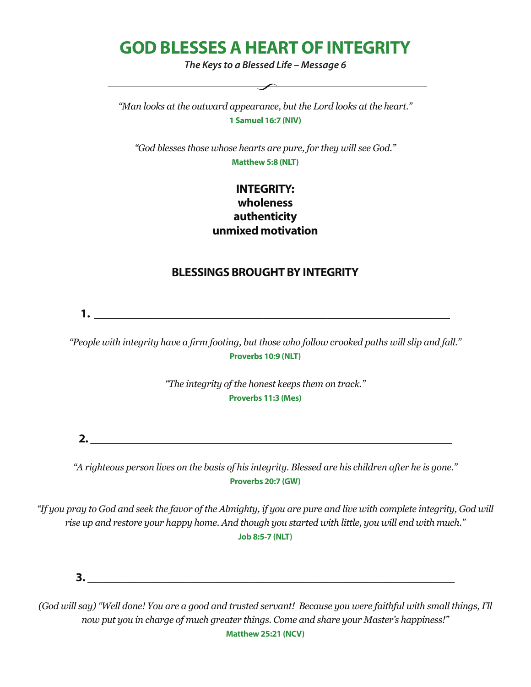# **GOD BLESSES A HEART OF INTEGRITY**

*The Keys to a Blessed Life – Message 6*

 $\overline{\phantom{a}}$ 

*"Man looks at the outward appearance, but the Lord looks at the heart."*  **1 Samuel 16:7 (NIV)**

*"God blesses those whose hearts are pure, for they will see God."*  **Matthew 5:8 (NLT)**

#### **INTEGRITY: wholeness authenticity unmixed motivation**

#### **BLESSINGS BROUGHT BY INTEGRITY**

**1. \_\_\_\_\_\_\_\_\_\_\_\_\_\_\_\_\_\_\_\_\_\_\_\_\_\_\_\_\_\_\_\_\_\_\_\_\_\_\_\_\_\_\_\_\_\_\_\_\_\_\_\_\_\_\_\_\_\_\_\_\_**

*"People with integrity have a firm footing, but those who follow crooked paths will slip and fall."* **Proverbs 10:9 (NLT)**

> *"The integrity of the honest keeps them on track."*  **Proverbs 11:3 (Mes)**

**2. \_\_\_\_\_\_\_\_\_\_\_\_\_\_\_\_\_\_\_\_\_\_\_\_\_\_\_\_\_\_\_\_\_\_\_\_\_\_\_\_\_\_\_\_\_\_\_\_\_\_\_\_\_\_\_\_\_\_\_\_\_\_**

*"A righteous person lives on the basis of his integrity. Blessed are his children after he is gone."*  **Proverbs 20:7 (GW)**

"If you pray to God and seek the favor of the Almighty, if you are pure and live with complete integrity, God will *rise up and restore your happy home. And though you started with little, you will end with much."* **Job 8:5-7 (NLT)**

**3.**  $\blacksquare$ 

(God will say) "Well done! You are a good and trusted servant! Because you were faithful with small things, I'll *now put you in charge of much greater things. Come and share your Master's happiness!"*  **Matthew 25:21 (NCV)**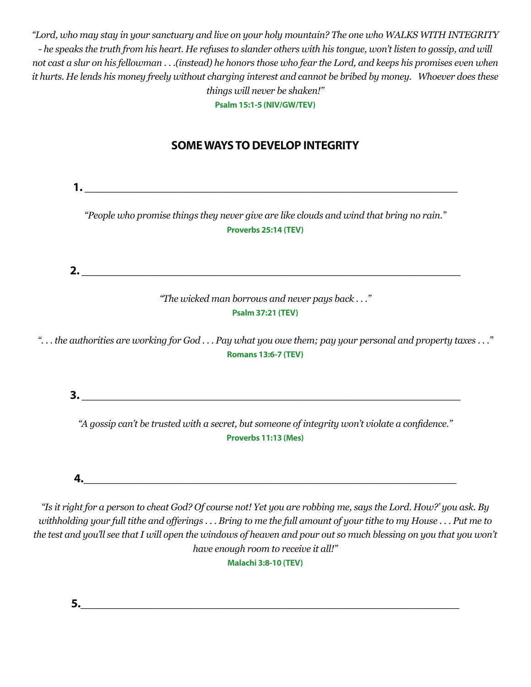"Lord, who may stay in your sanctuary and live on your holy mountain? The one who WALKS WITH INTEGRITY - he speaks the truth from his heart. He refuses to slander others with his tongue, won't listen to gossip, and will not cast a slur on his fellowman . . .(instead) he honors those who fear the Lord, and keeps his promises even when it hurts. He lends his money freely without charging interest and cannot be bribed by money. Whoever does these *things will never be shaken!"* 

**Psalm 15:1-5 (NIV/GW/TEV)**

### **SOME WAYS TO DEVELOP INTEGRITY**

**1.**  $\blacksquare$ *"People who promise things they never give are like clouds and wind that bring no rain."*  **Proverbs 25:14 (TEV) 2. \_\_\_\_\_\_\_\_\_\_\_\_\_\_\_\_\_\_\_\_\_\_\_\_\_\_\_\_\_\_\_\_\_\_\_\_\_\_\_\_\_\_\_\_\_\_\_\_\_\_\_\_\_\_\_\_\_\_\_\_\_\_\_\_\_** *"The wicked man borrows and never pays back . . ."* **Psalm 37:21 (TEV)** "... the authorities are working for God ... Pay what you owe them; pay your personal and property taxes ..." **Romans 13:6-7 (TEV) 3. \_\_\_\_\_\_\_\_\_\_\_\_\_\_\_\_\_\_\_\_\_\_\_\_\_\_\_\_\_\_\_\_\_\_\_\_\_\_\_\_\_\_\_\_\_\_\_\_\_\_\_\_\_\_\_\_\_\_\_\_\_\_\_\_\_** *"A gossip can't be trusted with a secret, but someone of integrity won't violate a confidence."*  **Proverbs 11:13 (Mes) 4.\_\_\_\_\_\_\_\_\_\_\_\_\_\_\_\_\_\_\_\_\_\_\_\_\_\_\_\_\_\_\_\_\_\_\_\_\_\_\_\_\_\_\_\_\_\_\_\_\_\_\_\_\_\_\_\_\_\_\_\_\_\_\_\_** "Is it right for a person to cheat God? Of course not! Yet you are robbing me, says the Lord. How?' you ask. By

withholding your full tithe and offerings ... Bring to me the full amount of your tithe to my House ... Put me to the test and you'll see that I will open the windows of heaven and pour out so much blessing on you that you won't *have enough room to receive it all!"*

**Malachi 3:8-10 (TEV)**

**5.\_\_\_\_\_\_\_\_\_\_\_\_\_\_\_\_\_\_\_\_\_\_\_\_\_\_\_\_\_\_\_\_\_\_\_\_\_\_\_\_\_\_\_\_\_\_\_\_\_\_\_\_\_\_\_\_\_\_\_\_\_\_\_\_\_**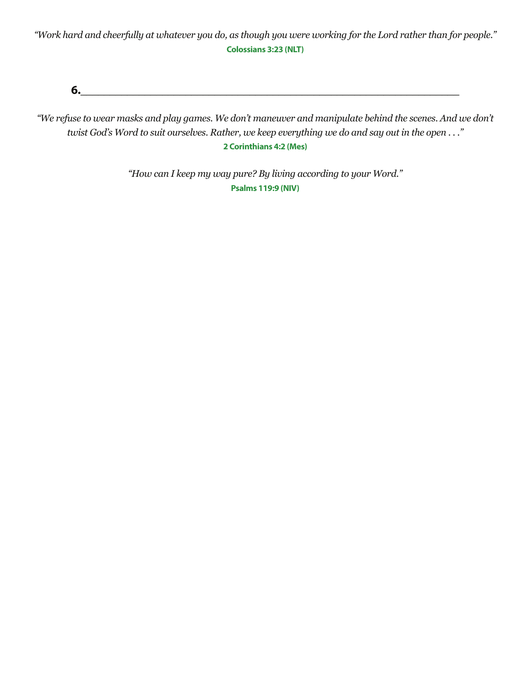*"Work hard and cheerfully at whatever you do, as though you were working for the Lord rather than for people."*  **Colossians 3:23 (NLT)**

**6.\_\_\_\_\_\_\_\_\_\_\_\_\_\_\_\_\_\_\_\_\_\_\_\_\_\_\_\_\_\_\_\_\_\_\_\_\_\_\_\_\_\_\_\_\_\_\_\_\_\_\_\_\_\_\_\_\_\_\_\_\_\_\_\_\_**

"We refuse to wear masks and play games. We don't maneuver and manipulate behind the scenes. And we don't twist God's Word to suit ourselves. Rather, we keep everything we do and say out in the open ..." **2 Corinthians 4:2 (Mes)**

> *"How can I keep my way pure? By living according to your Word."* **Psalms 119:9 (NIV)**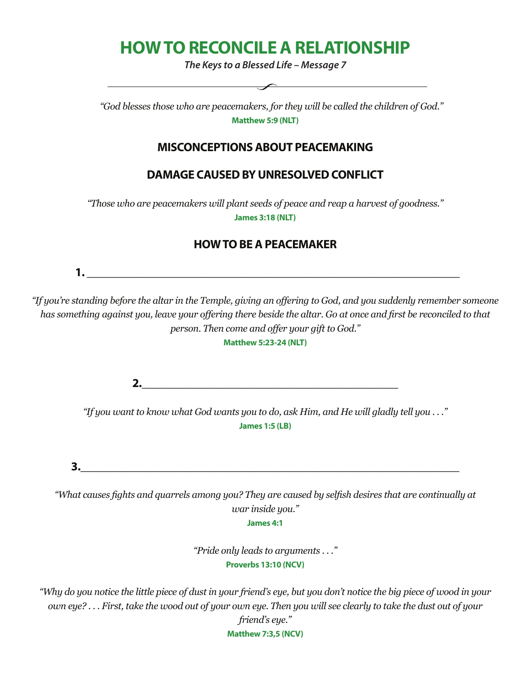# **HOW TO RECONCILE A RELATIONSHIP**

*The Keys to a Blessed Life – Message 7*

 *"God blesses those who are peacemakers, for they will be called the children of God."* **Matthew 5:9 (NLT)**

#### **MISCONCEPTIONS ABOUT PEACEMAKING**

#### **DAMAGE CAUSED BY UNRESOLVED CONFLICT**

*"Those who are peacemakers will plant seeds of peace and reap a harvest of goodness."*  **James 3:18 (NLT)** 

#### **HOW TO BE A PEACEMAKER**

 **1. \_\_\_\_\_\_\_\_\_\_\_\_\_\_\_\_\_\_\_\_\_\_\_\_\_\_\_\_\_\_\_\_\_\_\_\_\_\_\_\_\_\_\_\_\_\_\_\_\_\_\_\_\_\_\_\_\_\_\_\_\_\_\_\_**

"If you're standing before the altar in the Temple, giving an offering to God, and you suddenly remember someone has something against you, leave your offering there beside the altar. Go at once and first be reconciled to that *person. Then come and offer your gift to God."*

**Matthew 5:23-24 (NLT)** 

**2.\_\_\_\_\_\_\_\_\_\_\_\_\_\_\_\_\_\_\_\_\_\_\_\_\_\_\_\_\_\_\_\_\_\_\_\_\_\_\_\_\_\_\_\_**

*"If you want to know what God wants you to do, ask Him, and He will gladly tell you . . ."*  **James 1:5 (LB)**

**3.\_\_\_\_\_\_\_\_\_\_\_\_\_\_\_\_\_\_\_\_\_\_\_\_\_\_\_\_\_\_\_\_\_\_\_\_\_\_\_\_\_\_\_\_\_\_\_\_\_\_\_\_\_\_\_\_\_\_\_\_\_\_\_\_\_**

*"What causes fights and quarrels among you? They are caused by selfish desires that are continually at war inside you."* 

**James 4:1**

*"Pride only leads to arguments . . ."*  **Proverbs 13:10 (NCV)**

*"Why do you notice the little piece of dust in your friend's eye, but you don't notice the big piece of wood in your*  own eye?...First, take the wood out of your own eye. Then you will see clearly to take the dust out of your *friend's eye."*  **Matthew 7:3,5 (NCV)**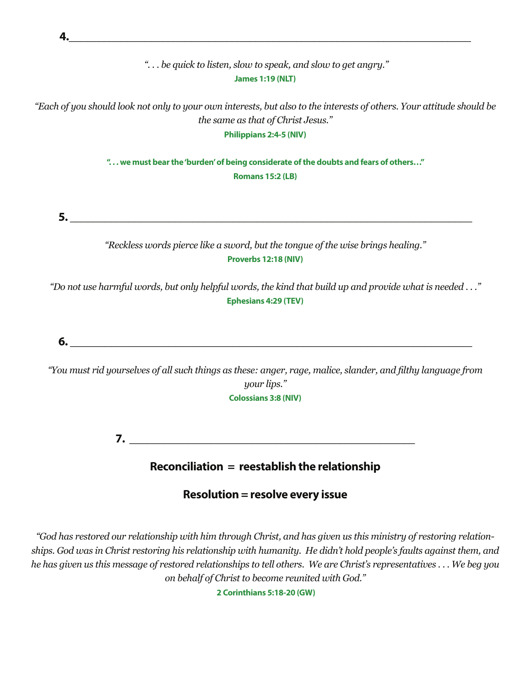

### **Resolution = resolve every issue**

*"God has restored our relationship with him through Christ, and has given us this ministry of restoring relationships. God was in Christ restoring his relationship with humanity. He didn't hold people's faults against them, and he has given us this message of restored relationships to tell others. We are Christ's representatives . . . We beg you on behalf of Christ to become reunited with God."*

 **2 Corinthians 5:18-20 (GW)**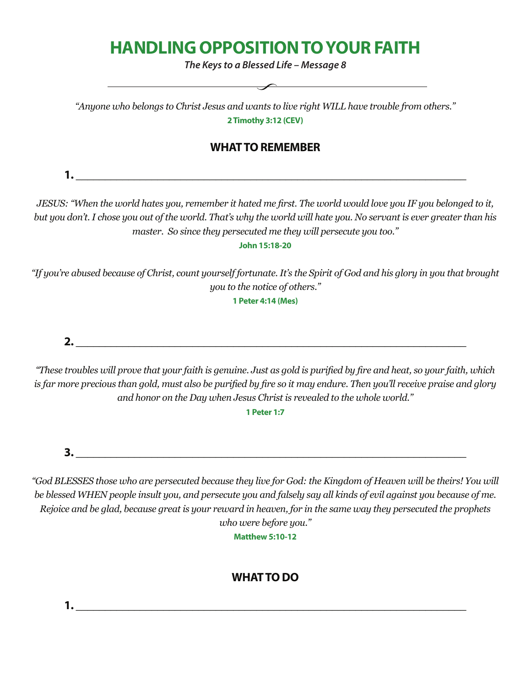# **HANDLING OPPOSITION TO YOUR FAITH**

*The Keys to a Blessed Life – Message 8*

 $\overline{\phantom{a}}$ 

*"Anyone who belongs to Christ Jesus and wants to live right WILL have trouble from others."* **2 Timothy 3:12 (CEV)**

#### **WHAT TO REMEMBER**

**1. \_\_\_\_\_\_\_\_\_\_\_\_\_\_\_\_\_\_\_\_\_\_\_\_\_\_\_\_\_\_\_\_\_\_\_\_\_\_\_\_\_\_\_\_\_\_\_\_\_\_\_\_\_\_\_\_\_\_\_\_\_\_\_\_\_\_\_**

JESUS: "When the world hates you, remember it hated me first. The world would love you IF you belonged to it, but you don't. I chose you out of the world. That's why the world will hate you. No servant is ever greater than his *master. So since they persecuted me they will persecute you too."* 

**John 15:18-20**

*"If you're abused because of Christ, count yourself fortunate. It's the Spirit of God and his glory in you that brought you to the notice of others."* 

**1 Peter 4:14 (Mes)**

**2. \_\_\_\_\_\_\_\_\_\_\_\_\_\_\_\_\_\_\_\_\_\_\_\_\_\_\_\_\_\_\_\_\_\_\_\_\_\_\_\_\_\_\_\_\_\_\_\_\_\_\_\_\_\_\_\_\_\_\_\_\_\_\_\_\_\_\_**

"These troubles will prove that your faith is genuine. Just as gold is purified by fire and heat, so your faith, which is far more precious than gold, must also be purified by fire so it may endure. Then you'll receive praise and glory *and honor on the Day when Jesus Christ is revealed to the whole world."*

**1 Peter 1:7**

**3. \_\_\_\_\_\_\_\_\_\_\_\_\_\_\_\_\_\_\_\_\_\_\_\_\_\_\_\_\_\_\_\_\_\_\_\_\_\_\_\_\_\_\_\_\_\_\_\_\_\_\_\_\_\_\_\_\_\_\_\_\_\_\_\_\_\_\_**

*"God BLESSES those who are persecuted because they live for God: the Kingdom of Heaven will be theirs! You will*  be blessed WHEN people insult you, and persecute you and falsely say all kinds of evil against you because of me. *Rejoice and be glad, because great is your reward in heaven, for in the same way they persecuted the prophets who were before you."* 

**Matthew 5:10-12**

### **WHAT TO DO**

**1. \_\_\_\_\_\_\_\_\_\_\_\_\_\_\_\_\_\_\_\_\_\_\_\_\_\_\_\_\_\_\_\_\_\_\_\_\_\_\_\_\_\_\_\_\_\_\_\_\_\_\_\_\_\_\_\_\_\_\_\_\_\_\_\_\_\_\_**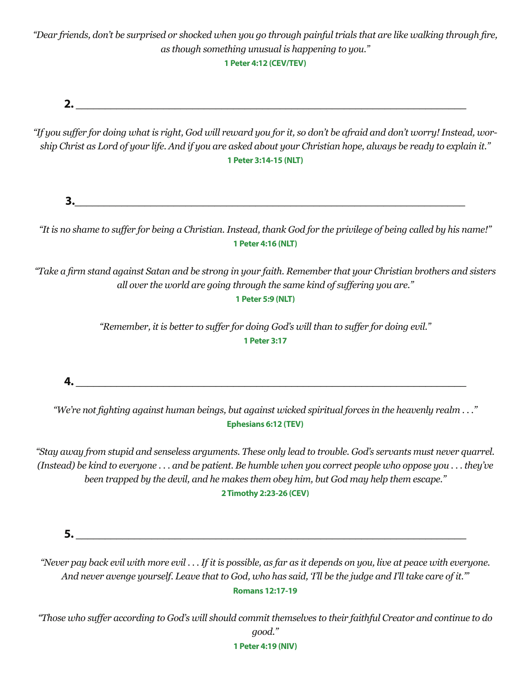"Dear friends, don't be surprised or shocked when you go through painful trials that are like walking through fire, *as though something unusual is happening to you."*

**1 Peter 4:12 (CEV/TEV)**

**2. \_\_\_\_\_\_\_\_\_\_\_\_\_\_\_\_\_\_\_\_\_\_\_\_\_\_\_\_\_\_\_\_\_\_\_\_\_\_\_\_\_\_\_\_\_\_\_\_\_\_\_\_\_\_\_\_\_\_\_\_\_\_\_\_\_\_\_**

"If you suffer for doing what is right, God will reward you for it, so don't be afraid and don't worry! Instead, worship Christ as Lord of your life. And if you are asked about your Christian hope, always be ready to explain it." **1 Peter 3:14-15 (NLT)**

**3.\_\_\_\_\_\_\_\_\_\_\_\_\_\_\_\_\_\_\_\_\_\_\_\_\_\_\_\_\_\_\_\_\_\_\_\_\_\_\_\_\_\_\_\_\_\_\_\_\_\_\_\_\_\_\_\_\_\_\_\_\_\_\_\_\_\_\_**

"It is no shame to suffer for being a Christian. Instead, thank God for the privilege of being called by his name!" **1 Peter 4:16 (NLT)**

"Take a firm stand against Satan and be strong in your faith. Remember that your Christian brothers and sisters *all over the world are going through the same kind of suffering you are."*

**1 Peter 5:9 (NLT)**

*"Remember, it is better to suffer for doing God's will than to suffer for doing evil."* **1 Peter 3:17**

**4. \_\_\_\_\_\_\_\_\_\_\_\_\_\_\_\_\_\_\_\_\_\_\_\_\_\_\_\_\_\_\_\_\_\_\_\_\_\_\_\_\_\_\_\_\_\_\_\_\_\_\_\_\_\_\_\_\_\_\_\_\_\_\_\_\_\_\_**

"We're not fighting against human beings, but against wicked spiritual forces in the heavenly realm . . ." **Ephesians 6:12 (TEV)**

"Stay away from stupid and senseless arguments. These only lead to trouble. God's servants must never quarrel. (Instead) be kind to everyone ... and be patient. Be humble when you correct people who oppose you ... they've *been trapped by the devil, and he makes them obey him, but God may help them escape."*  **2 Timothy 2:23-26 (CEV)**

 $\mathbf{5.}$ 

"Never pay back evil with more evil ... If it is possible, as far as it depends on you, live at peace with everyone. And never avenge yourself. Leave that to God, who has said, Tll be the judge and I'll take care of it." **Romans 12:17-19**

"Those who suffer according to God's will should commit themselves to their faithful Creator and continue to do *good."* 

**1 Peter 4:19 (NIV)**